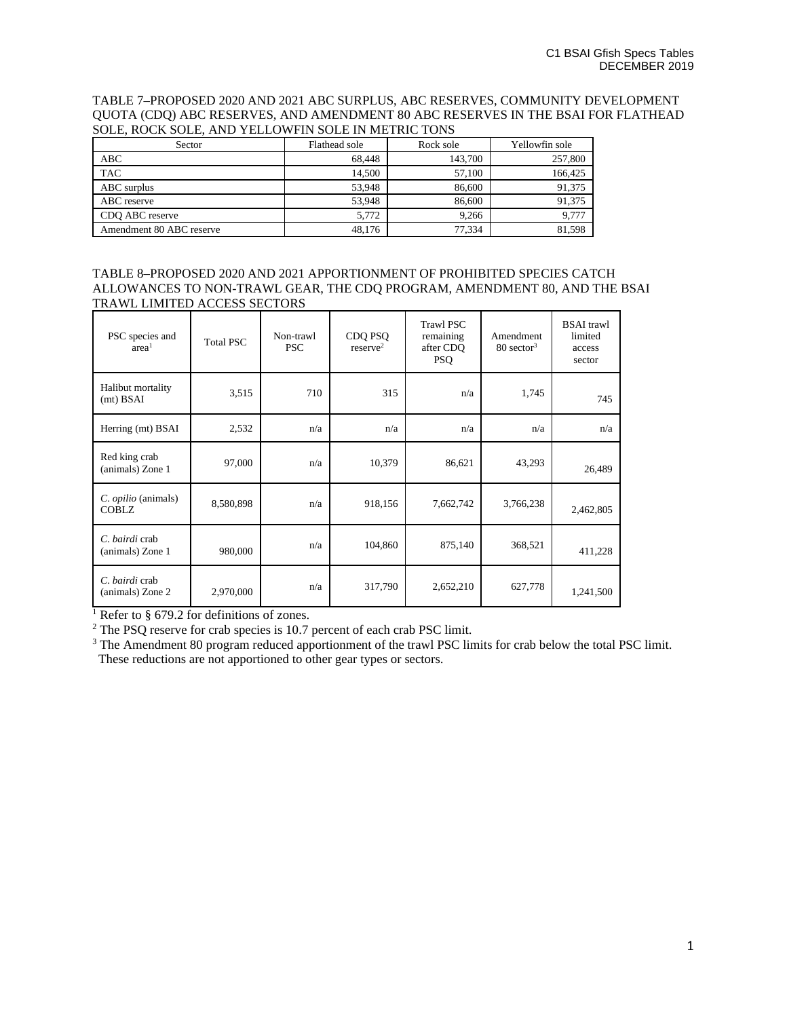TABLE 7–PROPOSED 2020 AND 2021 ABC SURPLUS, ABC RESERVES, COMMUNITY DEVELOPMENT QUOTA (CDQ) ABC RESERVES, AND AMENDMENT 80 ABC RESERVES IN THE BSAI FOR FLATHEAD SOLE, ROCK SOLE, AND YELLOWFIN SOLE IN METRIC TONS

| Sector                   | Flathead sole | Rock sole | Yellowfin sole |
|--------------------------|---------------|-----------|----------------|
| ABC                      | 68.448        | 143,700   | 257,800        |
| <b>TAC</b>               | 14.500        | 57,100    | 166.425        |
| ABC surplus              | 53.948        | 86,600    | 91,375         |
| ABC reserve              | 53.948        | 86,600    | 91.375         |
| CDO ABC reserve          | 5.772         | 9.266     | 9.777          |
| Amendment 80 ABC reserve | 48.176        | 77.334    | 81.598         |

TABLE 8–PROPOSED 2020 AND 2021 APPORTIONMENT OF PROHIBITED SPECIES CATCH ALLOWANCES TO NON-TRAWL GEAR, THE CDQ PROGRAM, AMENDMENT 80, AND THE BSAI TRAWL LIMITED ACCESS SECTORS

| PSC species and<br>area <sup>1</sup> | <b>Total PSC</b> | Non-trawl<br><b>PSC</b> | CDQ PSQ<br>reserve <sup>2</sup> | <b>Trawl PSC</b><br>remaining<br>after CDO<br><b>PSQ</b> | Amendment<br>$80$ sector <sup>3</sup> | <b>BSAI</b> trawl<br>limited<br>access<br>sector |
|--------------------------------------|------------------|-------------------------|---------------------------------|----------------------------------------------------------|---------------------------------------|--------------------------------------------------|
| Halibut mortality<br>$(mt)$ BSAI     | 3,515            | 710                     | 315                             | n/a                                                      | 1,745                                 | 745                                              |
| Herring (mt) BSAI                    | 2,532            | n/a                     | n/a                             | n/a                                                      | n/a                                   | n/a                                              |
| Red king crab<br>(animals) Zone 1    | 97,000           | n/a                     | 10,379                          | 86,621                                                   | 43,293                                | 26,489                                           |
| C. opilio (animals)<br><b>COBLZ</b>  | 8,580,898        | n/a                     | 918,156                         | 7,662,742                                                | 3,766,238                             | 2,462,805                                        |
| C. bairdi crab<br>(animals) Zone 1   | 980,000          | n/a                     | 104,860                         | 875,140                                                  | 368,521                               | 411,228                                          |
| C. bairdi crab<br>(animals) Zone 2   | 2,970,000        | n/a                     | 317,790                         | 2,652,210                                                | 627,778                               | 1,241,500                                        |

<sup>1</sup> Refer to § 679.2 for definitions of zones.

<sup>2</sup> The PSQ reserve for crab species is 10.7 percent of each crab PSC limit.

<sup>3</sup> The Amendment 80 program reduced apportionment of the trawl PSC limits for crab below the total PSC limit. These reductions are not apportioned to other gear types or sectors.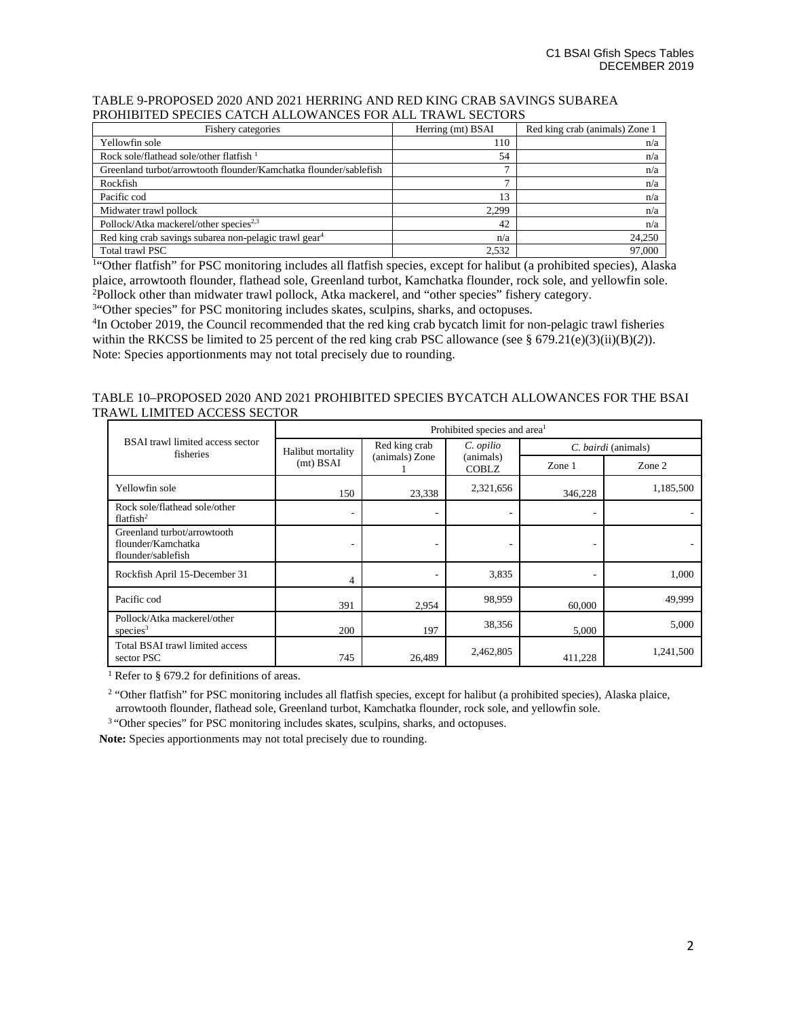### TABLE 9-PROPOSED 2020 AND 2021 HERRING AND RED KING CRAB SAVINGS SUBAREA PROHIBITED SPECIES CATCH ALLOWANCES FOR ALL TRAWL SECTORS

| Fishery categories                                                | Herring (mt) BSAI | Red king crab (animals) Zone 1 |
|-------------------------------------------------------------------|-------------------|--------------------------------|
| Yellowfin sole                                                    | 110               | n/a                            |
| Rock sole/flathead sole/other flatfish $1$                        | 54                | n/a                            |
| Greenland turbot/arrowtooth flounder/Kamchatka flounder/sablefish | ∽                 | n/a                            |
| Rockfish                                                          | -                 | n/a                            |
| Pacific cod                                                       | 13                | n/a                            |
| Midwater trawl pollock                                            | 2.299             | n/a                            |
| Pollock/Atka mackerel/other species <sup>2,3</sup>                | 42                | n/a                            |
| Red king crab savings subarea non-pelagic trawl gear <sup>4</sup> | n/a               | 24,250                         |
| Total trawl PSC                                                   | 2,532             | 97,000                         |

<sup>1</sup>"Other flatfish" for PSC monitoring includes all flatfish species, except for halibut (a prohibited species), Alaska plaice, arrowtooth flounder, flathead sole, Greenland turbot, Kamchatka flounder, rock sole, and yellowfin sole. 2 Pollock other than midwater trawl pollock, Atka mackerel, and "other species" fishery category.

<sup>34</sup>Other species" for PSC monitoring includes skates, sculpins, sharks, and octopuses.

<sup>4</sup>In October 2019, the Council recommended that the red king crab bycatch limit for non-pelagic trawl fisheries within the RKCSS be limited to 25 percent of the red king crab PSC allowance (see § 679.21(e)(3)(ii)(B)(2)). Note: Species apportionments may not total precisely due to rounding.

## TABLE 10–PROPOSED 2020 AND 2021 PROHIBITED SPECIES BYCATCH ALLOWANCES FOR THE BSAI TRAWL LIMITED ACCESS SECTOR

|                                                                         | Prohibited species and area <sup>1</sup> |                                 |                                        |                     |           |
|-------------------------------------------------------------------------|------------------------------------------|---------------------------------|----------------------------------------|---------------------|-----------|
| <b>BSAI</b> trawl limited access sector<br>fisheries                    | Halibut mortality                        | Red king crab<br>(animals) Zone | C. opilio<br>(animals)<br><b>COBLZ</b> | C. bairdi (animals) |           |
|                                                                         | (mt) BSAI                                |                                 |                                        | Zone $1$            | Zone 2    |
| Yellowfin sole                                                          | 150                                      | 23,338                          | 2,321,656                              | 346,228             | 1,185,500 |
| Rock sole/flathead sole/other<br>flatfish $^2$                          |                                          |                                 |                                        |                     |           |
| Greenland turbot/arrowtooth<br>flounder/Kamchatka<br>flounder/sablefish |                                          |                                 |                                        |                     |           |
| Rockfish April 15-December 31                                           | 4                                        |                                 | 3,835                                  |                     | 1,000     |
| Pacific cod                                                             | 391                                      | 2,954                           | 98,959                                 | 60,000              | 49,999    |
| Pollock/Atka mackerel/other<br>species $3$                              | 200                                      | 197                             | 38,356                                 | 5,000               | 5,000     |
| Total BSAI trawl limited access<br>sector PSC                           | 745                                      | 26,489                          | 2,462,805                              | 411,228             | 1,241,500 |

<sup>1</sup> Refer to § 679.2 for definitions of areas.

<sup>2</sup> "Other flatfish" for PSC monitoring includes all flatfish species, except for halibut (a prohibited species), Alaska plaice, arrowtooth flounder, flathead sole, Greenland turbot, Kamchatka flounder, rock sole, and yellowfin sole.

<sup>3</sup> "Other species" for PSC monitoring includes skates, sculpins, sharks, and octopuses.

**Note:** Species apportionments may not total precisely due to rounding.